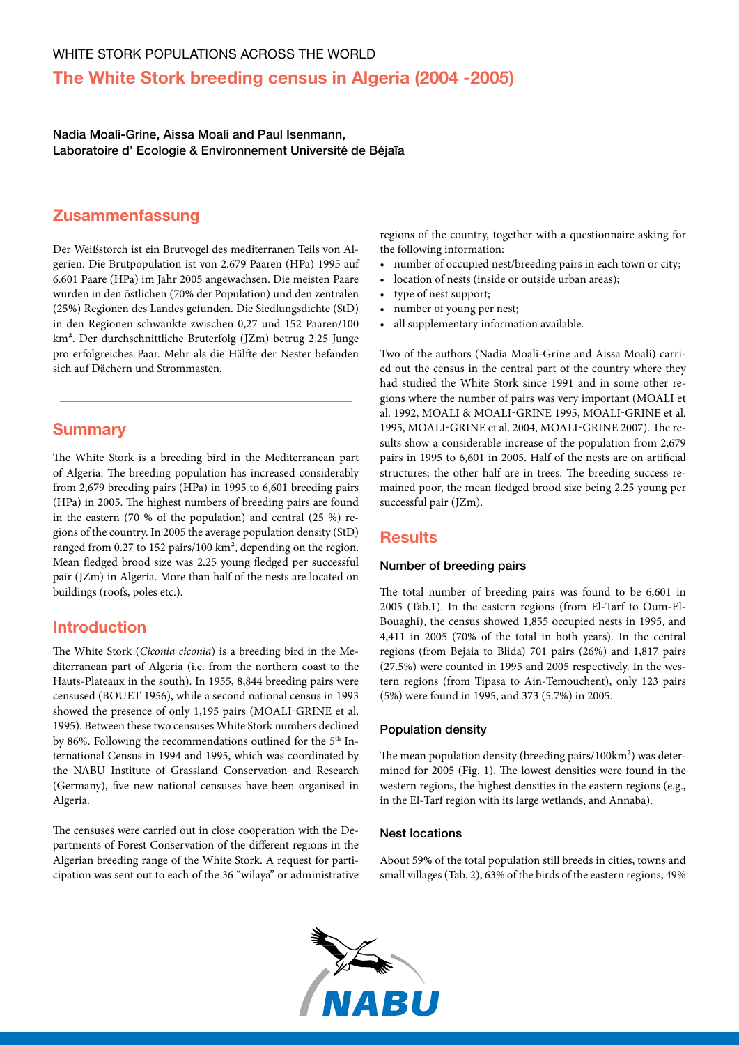# **The White Stork breeding census in Algeria (2004 -2005)**

Nadia Moali-Grine, Aissa Moali and Paul Isenmann, Laboratoire d' Ecologie & Environnement Université de Béjaïa

## **Zusammenfassung**

Der Weißstorch ist ein Brutvogel des mediterranen Teils von Algerien. Die Brutpopulation ist von 2.679 Paaren (HPa) 1995 auf 6.601 Paare (HPa) im Jahr 2005 angewachsen. Die meisten Paare wurden in den östlichen (70% der Population) und den zentralen (25%) Regionen des Landes gefunden. Die Siedlungsdichte (StD) in den Regionen schwankte zwischen 0,27 und 152 Paaren/100 km². Der durchschnittliche Bruterfolg (JZm) betrug 2,25 Junge pro erfolgreiches Paar. Mehr als die Hälfte der Nester befanden sich auf Dächern und Strommasten.

## **Summary**

The White Stork is a breeding bird in the Mediterranean part of Algeria. The breeding population has increased considerably from 2,679 breeding pairs (HPa) in 1995 to 6,601 breeding pairs (HPa) in 2005. The highest numbers of breeding pairs are found in the eastern (70 % of the population) and central (25 %) regions of the country. In 2005 the average population density (StD) ranged from 0.27 to 152 pairs/100 km², depending on the region. Mean fledged brood size was 2.25 young fledged per successful pair (JZm) in Algeria. More than half of the nests are located on buildings (roofs, poles etc.).

### **Introduction**

The White Stork (*Ciconia ciconia*) is a breeding bird in the Mediterranean part of Algeria (i.e. from the northern coast to the Hauts-Plateaux in the south). In 1955, 8,844 breeding pairs were censused (BOUET 1956), while a second national census in 1993 showed the presence of only 1,195 pairs (MOALI-GRINE et al. 1995). Between these two censuses White Stork numbers declined by 86%. Following the recommendations outlined for the 5<sup>th</sup> International Census in 1994 and 1995, which was coordinated by the NABU Institute of Grassland Conservation and Research (Germany), five new national censuses have been organised in Algeria.

The censuses were carried out in close cooperation with the Departments of Forest Conservation of the different regions in the Algerian breeding range of the White Stork. A request for participation was sent out to each of the 36 "wilaya" or administrative

regions of the country, together with a questionnaire asking for the following information:

- number of occupied nest/breeding pairs in each town or city;
- • location of nests (inside or outside urban areas);
- • type of nest support;
- number of young per nest;
- • all supplementary information available.

Two of the authors (Nadia Moali-Grine and Aissa Moali) carried out the census in the central part of the country where they had studied the White Stork since 1991 and in some other regions where the number of pairs was very important (MOALI et al. 1992, Moali & Moali-Grine 1995, Moali-Grine et al. 1995, Moali-Grine et al. 2004, Moali-Grine 2007). The results show a considerable increase of the population from 2,679 pairs in 1995 to 6,601 in 2005. Half of the nests are on artificial structures; the other half are in trees. The breeding success remained poor, the mean fledged brood size being 2.25 young per successful pair (JZm).

### **Results**

#### Number of breeding pairs

The total number of breeding pairs was found to be 6,601 in 2005 (Tab.1). In the eastern regions (from El-Tarf to Oum-El-Bouaghi), the census showed 1,855 occupied nests in 1995, and 4,411 in 2005 (70% of the total in both years). In the central regions (from Bejaia to Blida) 701 pairs (26%) and 1,817 pairs (27.5%) were counted in 1995 and 2005 respectively. In the western regions (from Tipasa to Ain-Temouchent), only 123 pairs (5%) were found in 1995, and 373 (5.7%) in 2005.

#### Population density

The mean population density (breeding pairs/100km²) was determined for 2005 (Fig. 1). The lowest densities were found in the western regions, the highest densities in the eastern regions (e.g., in the El-Tarf region with its large wetlands, and Annaba).

#### Nest locations

About 59% of the total population still breeds in cities, towns and small villages (Tab. 2), 63% of the birds of the eastern regions, 49%

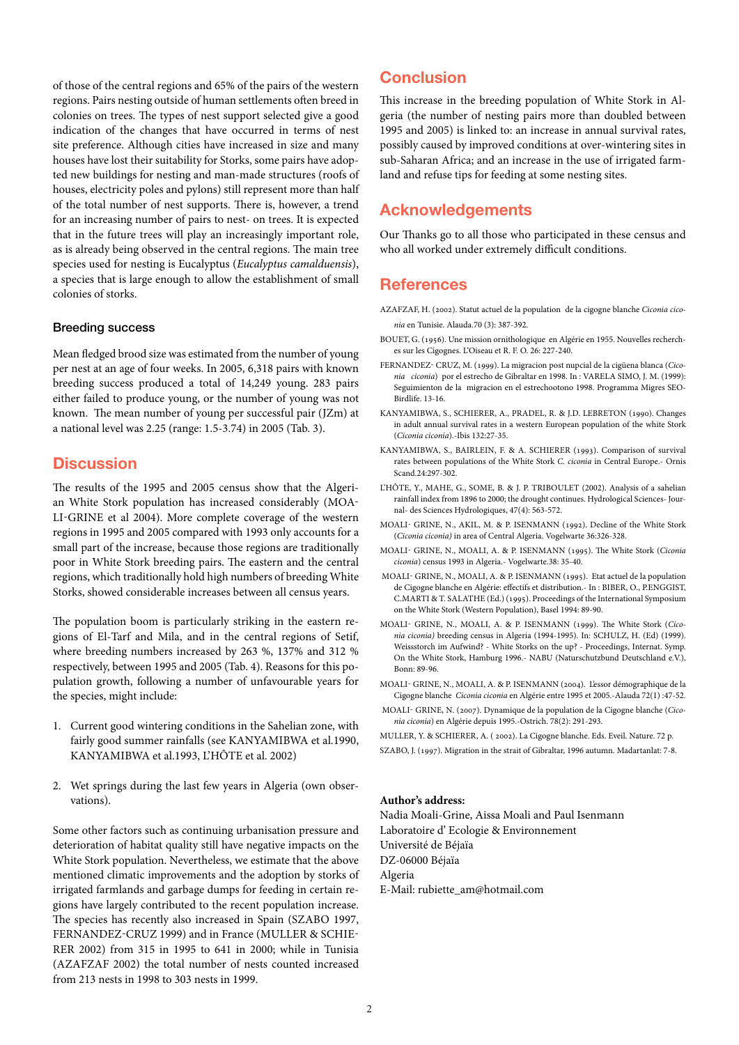of those of the central regions and 65% of the pairs of the western regions. Pairs nesting outside of human settlements often breed in colonies on trees. The types of nest support selected give a good indication of the changes that have occurred in terms of nest site preference. Although cities have increased in size and many houses have lost their suitability for Storks, some pairs have adopted new buildings for nesting and man-made structures (roofs of houses, electricity poles and pylons) still represent more than half of the total number of nest supports. There is, however, a trend for an increasing number of pairs to nest- on trees. It is expected that in the future trees will play an increasingly important role, as is already being observed in the central regions. The main tree species used for nesting is Eucalyptus (*Eucalyptus camalduensis*), a species that is large enough to allow the establishment of small colonies of storks.

#### Breeding success

Mean fledged brood size was estimated from the number of young per nest at an age of four weeks. In 2005, 6,318 pairs with known breeding success produced a total of 14,249 young. 283 pairs either failed to produce young, or the number of young was not known. The mean number of young per successful pair (JZm) at a national level was 2.25 (range: 1.5-3.74) in 2005 (Tab. 3).

### **Discussion**

The results of the 1995 and 2005 census show that the Algerian White Stork population has increased considerably (MOA-LI-GRINE et al 2004). More complete coverage of the western regions in 1995 and 2005 compared with 1993 only accounts for a small part of the increase, because those regions are traditionally poor in White Stork breeding pairs. The eastern and the central regions, which traditionally hold high numbers of breeding White Storks, showed considerable increases between all census years.

The population boom is particularly striking in the eastern regions of El-Tarf and Mila, and in the central regions of Setif, where breeding numbers increased by 263 %, 137% and 312 % respectively, between 1995 and 2005 (Tab. 4). Reasons for this population growth, following a number of unfavourable years for the species, might include:

- 1. Current good wintering conditions in the Sahelian zone, with fairly good summer rainfalls (see KANYAMIBWA et al.1990, KANYAMIBWA et al.1993, L'HÔTE et al. 2002)
- 2. Wet springs during the last few years in Algeria (own observations).

Some other factors such as continuing urbanisation pressure and deterioration of habitat quality still have negative impacts on the White Stork population. Nevertheless, we estimate that the above mentioned climatic improvements and the adoption by storks of irrigated farmlands and garbage dumps for feeding in certain regions have largely contributed to the recent population increase. The species has recently also increased in Spain (SZABO 1997, Fernandez-Cruz 1999) and in France (Muller & Schie-RER 2002) from 315 in 1995 to 641 in 2000; while in Tunisia (Azafzaf 2002) the total number of nests counted increased from 213 nests in 1998 to 303 nests in 1999.

## **Conclusion**

This increase in the breeding population of White Stork in Algeria (the number of nesting pairs more than doubled between 1995 and 2005) is linked to: an increase in annual survival rates, possibly caused by improved conditions at over-wintering sites in sub-Saharan Africa; and an increase in the use of irrigated farmland and refuse tips for feeding at some nesting sites.

### **Acknowledgements**

Our Thanks go to all those who participated in these census and who all worked under extremely difficult conditions.

### **References**

- azafzaf, H. (2002). Statut actuel de la population de la cigogne blanche *Ciconia ciconia* en Tunisie. Alauda.70 (3): 387-392.
- BOUET, G. (1956). Une mission ornithologique en Algérie en 1955. Nouvelles recherches sur les Cigognes. L'Oiseau et R. F. O. 26: 227-240.
- Fernandez- cruz, M. (1999). La migracion post nupcial de la cigüena blanca (*Ciconia ciconia*) por el estrecho de Gibraltar en 1998. In : VARELA SIMO, J. M. (1999): Seguimienton de la migracion en el estrechootono 1998. Programma Migres SEO-Birdlife. 13-16.
- kanyamibwa, S., schierer, A., pradel, R. & J.D. lebreton (1990). Changes in adult annual survival rates in a western European population of the white Stork (*Ciconia ciconia*).-Ibis 132:27-35.
- kanyamibwa, S., bairlein, F. & A. schierer (1993). Comparison of survival rates between populations of the White Stork *C. ciconia* in Central Europe.- Ornis Scand.24:297-302.
- L'HÔTE, Y., MAHE, G., SOME, B. & J. P. TRIBOULET (2002). Analysis of a sahelian rainfall index from 1896 to 2000; the drought continues. Hydrological Sciences- Journal- des Sciences Hydrologiques, 47(4): 563-572.
- moali- grine, N., akil, M. & P. isenmann (1992). Decline of the White Stork (*Ciconia ciconia)* in area of Central Algeria. Vogelwarte 36:326-328.
- moali- grine, N., moali, A. & P. isenmann (1995). The White Stork (*Ciconia ciconia*) census 1993 in Algeria.- Vogelwarte.38: 35-40.
- moali- grine, N., moali, A. & P. isenmann (1995). Etat actuel de la population de Cigogne blanche en Algérie: effectifs et distribution.- In : BIBER, O., P.ENGGIST, C.MARTI & T. SALATHE (Ed.) (1995). Proceedings of the International Symposium on the White Stork (Western Population), Basel 1994: 89-90.
- moali- grine, N., moali, A. & P. isenmann (1999). The White Stork (*Ciconia ciconia)* breeding census in Algeria (1994-1995). In: Schulz, h. (Ed) (1999). Weissstorch im Aufwind? - White Storks on the up? - Proceedings, Internat. Symp. On the White Stork, Hamburg 1996.- NABU (Naturschutzbund Deutschland e.V.), Bonn: 89-96.
- moali- grine, N., moali, A. & P. isenmann (2004). L'essor démographique de la Cigogne blanche *Ciconia ciconia* en Algérie entre 1995 et 2005.-Alauda 72(1) :47-52.
- moali- grine, N. (2007). Dynamique de la population de la Cigogne blanche (*Ciconia ciconia*) en Algérie depuis 1995.-Ostrich. 78(2): 291-293.

muller, Y. & schierer, A. ( 2002). La Cigogne blanche. Eds. Eveil. Nature. 72 p. szabo, J. (1997). Migration in the strait of Gibraltar, 1996 autumn. Madartanlat: 7-8.

#### **Author's address:**

Nadia Moali-Grine, Aissa Moali and Paul Isenmann Laboratoire d' Ecologie & Environnement Université de Béjaïa DZ-06000 Béjaïa Algeria E-Mail: rubiette\_am@hotmail.com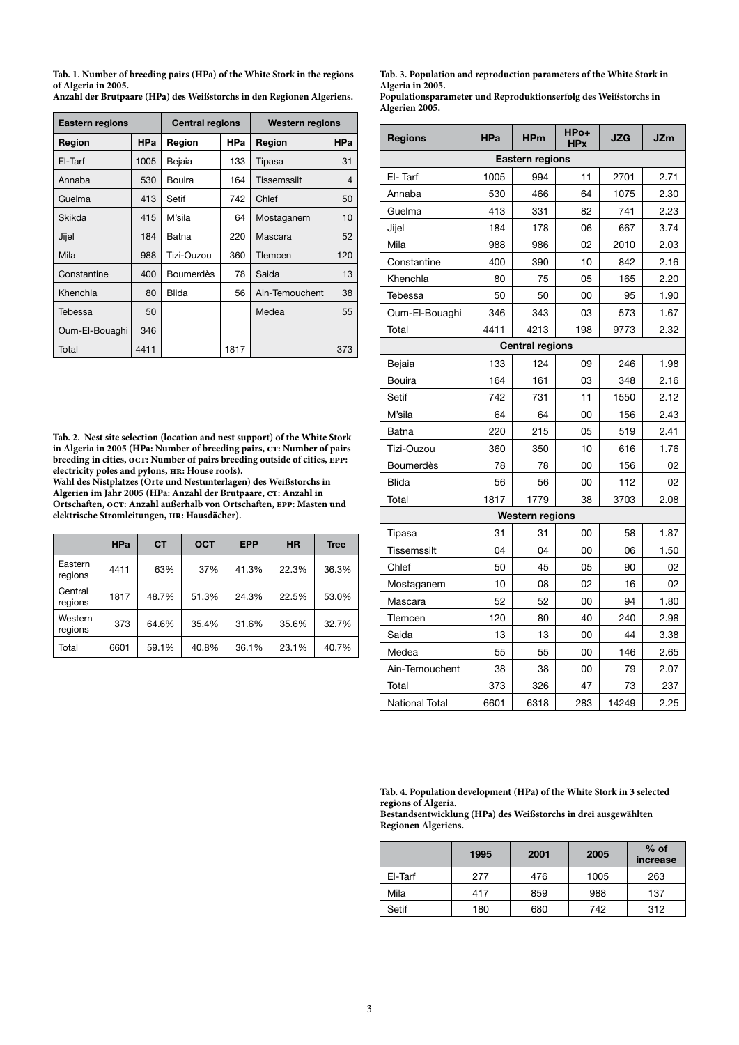**Tab. 1. Number of breeding pairs (HPa) of the White Stork in the regions of Algeria in 2005.**

**Anzahl der Brutpaare (HPa) des Weißstorchs in den Regionen Algeriens.** 

| <b>Eastern regions</b> |            | <b>Central regions</b> |      | <b>Western regions</b> |                |
|------------------------|------------|------------------------|------|------------------------|----------------|
| Region                 | <b>HPa</b> | Region                 | HPa  | Region                 | HPa            |
| El-Tarf                | 1005       | Bejaia                 | 133  | Tipasa                 | 31             |
| Annaba                 | 530        | Bouira                 | 164  | Tissemssilt            | $\overline{4}$ |
| Guelma                 | 413        | Setif                  | 742  | Chlef                  | 50             |
| Skikda                 | 415        | M'sila                 | 64   | Mostaganem             | 10             |
| Jijel                  | 184        | Batna                  | 220  | Mascara                | 52             |
| Mila                   | 988        | Tizi-Ouzou             | 360  | Tlemcen                | 120            |
| Constantine            | 400        | <b>Boumerdès</b>       | 78   | Saida                  | 13             |
| Khenchla               | 80         | <b>Blida</b>           | 56   | Ain-Temouchent         | 38             |
| Tebessa                | 50         |                        |      | Medea                  | 55             |
| Oum-El-Bouaghi         | 346        |                        |      |                        |                |
| Total                  | 4411       |                        | 1817 |                        | 373            |

**Tab. 2. Nest site selection (location and nest support) of the White Stork**  in Algeria in 2005 (HPa: Number of breeding pairs, CT: Number of pairs breeding in cities, **oct:** Number of pairs breeding outside of cities, **EPP**: **electricity poles and pylons, hr: House roofs).** 

**Wahl des Nistplatzes (Orte und Nestunterlagen) des Weißstorchs in Algerien im Jahr 2005 (HPa: Anzahl der Brutpaare, ct: Anzahl in Ortschaften, oct: Anzahl außerhalb von Ortschaften, epp: Masten und elektrische Stromleitungen, hr: Hausdächer).**

|                    | <b>HPa</b> | <b>CT</b> | <b>OCT</b> | <b>EPP</b> | <b>HR</b> | <b>Tree</b> |
|--------------------|------------|-----------|------------|------------|-----------|-------------|
| Eastern<br>regions | 4411       | 63%       | 37%        | 41.3%      | 22.3%     | 36.3%       |
| Central<br>regions | 1817       | 48.7%     | 51.3%      | 24.3%      | 22.5%     | 53.0%       |
| Western<br>regions | 373        | 64.6%     | 35.4%      | 31.6%      | 35.6%     | 32.7%       |
| Total              | 6601       | 59.1%     | 40.8%      | 36.1%      | 23.1%     | 40.7%       |

**Tab. 3. Population and reproduction parameters of the White Stork in Algeria in 2005.**

**Populationsparameter und Reproduktionserfolg des Weißstorchs in Algerien 2005.**

| <b>Regions</b>         | <b>HPa</b> | <b>HPm</b> | HPo+<br><b>HPx</b> | JZG   | <b>JZm</b> |  |  |
|------------------------|------------|------------|--------------------|-------|------------|--|--|
| <b>Eastern regions</b> |            |            |                    |       |            |  |  |
| El-Tarf                | 1005       | 994        | 11                 | 2701  | 2.71       |  |  |
| Annaba                 | 530        | 466        | 64                 | 1075  | 2.30       |  |  |
| Guelma                 | 413        | 331        | 82                 | 741   | 2.23       |  |  |
| Jijel                  | 184        | 178        | 06                 | 667   | 3.74       |  |  |
| Mila                   | 988        | 986        | 02                 | 2010  | 2.03       |  |  |
| Constantine            | 400        | 390        | 10                 | 842   | 2.16       |  |  |
| Khenchla               | 80         | 75         | 05                 | 165   | 2.20       |  |  |
| Tebessa                | 50         | 50         | 00                 | 95    | 1.90       |  |  |
| Oum-El-Bouaghi         | 346        | 343        | 03                 | 573   | 1.67       |  |  |
| Total                  | 4411       | 4213       | 198                | 9773  | 2.32       |  |  |
| <b>Central regions</b> |            |            |                    |       |            |  |  |
| Bejaia                 | 133        | 124        | 09                 | 246   | 1.98       |  |  |
| Bouira                 | 164        | 161        | 03                 | 348   | 2.16       |  |  |
| Setif                  | 742        | 731        | 11                 | 1550  | 2.12       |  |  |
| M'sila                 | 64         | 64         | 00                 | 156   | 2.43       |  |  |
| Batna                  | 220        | 215        | 05                 | 519   | 2.41       |  |  |
| Tizi-Ouzou             | 360        | 350        | 10                 | 616   | 1.76       |  |  |
| <b>Boumerdès</b>       | 78         | 78         | 00                 | 156   | 02         |  |  |
| <b>Blida</b>           | 56         | 56         | 00                 | 112   | 02         |  |  |
| Total                  | 1817       | 1779       | 38                 | 3703  | 2.08       |  |  |
| <b>Western regions</b> |            |            |                    |       |            |  |  |
| Tipasa                 | 31         | 31         | 00                 | 58    | 1.87       |  |  |
| Tissemssilt            | 04         | 04         | 00                 | 06    | 1.50       |  |  |
| Chlef                  | 50         | 45         | 05                 | 90    | 02         |  |  |
| Mostaganem             | 10         | 08         | 02                 | 16    | 02         |  |  |
| Mascara                | 52         | 52         | 00                 | 94    | 1.80       |  |  |
| Tlemcen                | 120        | 80         | 40                 | 240   | 2.98       |  |  |
| Saida                  | 13         | 13         | 00                 | 44    | 3.38       |  |  |
| Medea                  | 55         | 55         | 00                 | 146   | 2.65       |  |  |
| Ain-Temouchent         | 38         | 38         | 00                 | 79    | 2.07       |  |  |
| Total                  | 373        | 326        | 47                 | 73    | 237        |  |  |
| National Total         | 6601       | 6318       | 283                | 14249 | 2.25       |  |  |

**Tab. 4. Population development (HPa) of the White Stork in 3 selected regions of Algeria.**

**Bestandsentwicklung (HPa) des Weißstorchs in drei ausgewählten Regionen Algeriens.** 

|         | 1995 | 2001 | 2005 | $%$ of<br>increase |
|---------|------|------|------|--------------------|
| El-Tarf | 277  | 476  | 1005 | 263                |
| Mila    | 417  | 859  | 988  | 137                |
| Setif   | 180  | 680  | 742  | 312                |